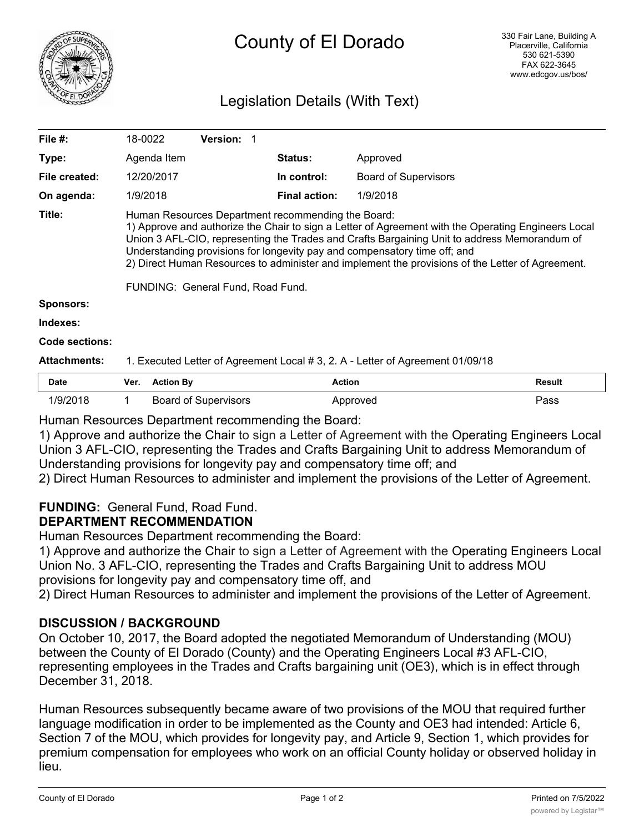

# County of El Dorado

# Legislation Details (With Text)

| Date                | Ver<br>Action Ry                                                                                                                                                                                                                                                                                                                                                                                                                           |                   | <b>Action</b>        |                             | Result |  |  |
|---------------------|--------------------------------------------------------------------------------------------------------------------------------------------------------------------------------------------------------------------------------------------------------------------------------------------------------------------------------------------------------------------------------------------------------------------------------------------|-------------------|----------------------|-----------------------------|--------|--|--|
| <b>Attachments:</b> | 1. Executed Letter of Agreement Local # 3, 2. A - Letter of Agreement 01/09/18                                                                                                                                                                                                                                                                                                                                                             |                   |                      |                             |        |  |  |
| Code sections:      |                                                                                                                                                                                                                                                                                                                                                                                                                                            |                   |                      |                             |        |  |  |
| Indexes:            |                                                                                                                                                                                                                                                                                                                                                                                                                                            |                   |                      |                             |        |  |  |
| <b>Sponsors:</b>    |                                                                                                                                                                                                                                                                                                                                                                                                                                            |                   |                      |                             |        |  |  |
|                     | FUNDING: General Fund, Road Fund.                                                                                                                                                                                                                                                                                                                                                                                                          |                   |                      |                             |        |  |  |
| Title:              | Human Resources Department recommending the Board:<br>1) Approve and authorize the Chair to sign a Letter of Agreement with the Operating Engineers Local<br>Union 3 AFL-CIO, representing the Trades and Crafts Bargaining Unit to address Memorandum of<br>Understanding provisions for longevity pay and compensatory time off; and<br>2) Direct Human Resources to administer and implement the provisions of the Letter of Agreement. |                   |                      |                             |        |  |  |
| On agenda:          | 1/9/2018                                                                                                                                                                                                                                                                                                                                                                                                                                   |                   | <b>Final action:</b> | 1/9/2018                    |        |  |  |
| File created:       | 12/20/2017                                                                                                                                                                                                                                                                                                                                                                                                                                 |                   | In control:          | <b>Board of Supervisors</b> |        |  |  |
| Type:               | Agenda Item                                                                                                                                                                                                                                                                                                                                                                                                                                |                   | <b>Status:</b>       | Approved                    |        |  |  |
| File #:             | 18-0022                                                                                                                                                                                                                                                                                                                                                                                                                                    | <b>Version: 1</b> |                      |                             |        |  |  |
|                     |                                                                                                                                                                                                                                                                                                                                                                                                                                            |                   |                      |                             |        |  |  |

| Date     | Ver. | Action Bv                   | Action   | Result |
|----------|------|-----------------------------|----------|--------|
| 1/9/2018 |      | <b>Board of Supervisors</b> | Approved | י¤ss   |

Human Resources Department recommending the Board:

1) Approve and authorize the Chair to sign a Letter of Agreement with the Operating Engineers Local Union 3 AFL-CIO, representing the Trades and Crafts Bargaining Unit to address Memorandum of Understanding provisions for longevity pay and compensatory time off; and

2) Direct Human Resources to administer and implement the provisions of the Letter of Agreement.

# **FUNDING:** General Fund, Road Fund.

# **DEPARTMENT RECOMMENDATION**

Human Resources Department recommending the Board:

1) Approve and authorize the Chair to sign a Letter of Agreement with the Operating Engineers Local Union No. 3 AFL-CIO, representing the Trades and Crafts Bargaining Unit to address MOU provisions for longevity pay and compensatory time off, and

2) Direct Human Resources to administer and implement the provisions of the Letter of Agreement.

# **DISCUSSION / BACKGROUND**

On October 10, 2017, the Board adopted the negotiated Memorandum of Understanding (MOU) between the County of El Dorado (County) and the Operating Engineers Local #3 AFL-CIO, representing employees in the Trades and Crafts bargaining unit (OE3), which is in effect through December 31, 2018.

Human Resources subsequently became aware of two provisions of the MOU that required further language modification in order to be implemented as the County and OE3 had intended: Article 6, Section 7 of the MOU, which provides for longevity pay, and Article 9, Section 1, which provides for premium compensation for employees who work on an official County holiday or observed holiday in lieu.